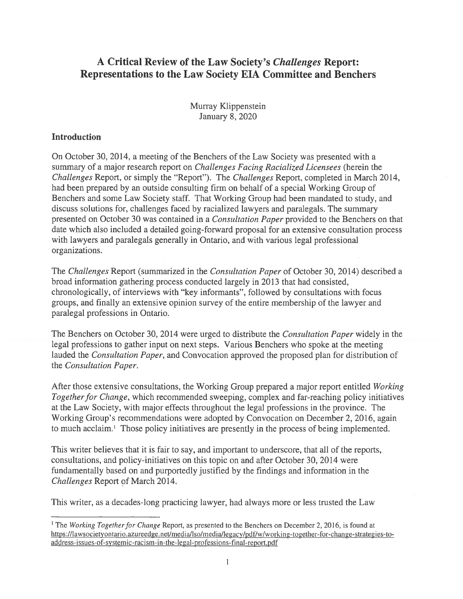# A Critical Review of the Law Society's Challenges Report: Representations to the Law Society EIA Committee and Benchers

Murray Klippenstein January 8, 2020

#### Introduction

On October 30, 2014, <sup>a</sup> meeting of the Benchers of the Law Society was presented with <sup>a</sup> summary of a major research report on *Challenges Facing Racialized Licensees* (herein the Challenges Report, or simply the "Report"). The Challenges Report, completed in March 2014, had been prepared by an outside consulting firm on behalf of <sup>a</sup> special Working Group of Benchers and some Law Society staff. That Working Group had been mandated to study, and discuss solutions for, challenges faced by racialized lawyers and paralegals. The summary presented on October 30 was contained in a *Consultation Paper* provided to the Benchers on that date which also included <sup>a</sup> detailed going-forward proposal for an extensive consultation process with lawyers and paralegals generally in Ontario, and with various legal professional organizations.

The Challenges Report (summarized in the Consultation Paper of October 30, 2014) described <sup>a</sup> broad information gathering process conducted largely in 2013 that had consisted, chronologically, of interviews with "key informants", followed by consultations with focus groups, and finally an extensive opinion survey of the entire membership of the lawyer and paralegal professions in Ontario.

The Benchers on October 30, 2014 were urged to distribute the *Consultation Paper* widely in the legal professions to gather input on next steps. Various Benchers who spoke at the meeting lauded the *Consultation Paper*, and Convocation approved the proposed plan for distribution of the Consultation Paper.

After those extensive consultations, the Working Group prepared <sup>a</sup> major repor<sup>t</sup> entitled Working Together for Change, which recommended sweeping, complex and far-reaching policy initiatives at the Law Society, with major effects throughout the legal professions in the province. The Working Group's recommendations were adopted by Convocation on December 2, 2016, again to much acclaim.<sup>1</sup> Those policy initiatives are presently in the process of being implemented.

This writer believes that it is fair to say, and important to underscore, that all of the reports, consultations, and policy-initiatives on this topic on and after October 30, 2014 were fundamentally based on and purportedly justified by the findings and information in the Challenges Report of March 2014.

This writer, as <sup>a</sup> decades-long practicing lawyer, had always more or less trusted the Law

<sup>&</sup>lt;sup>1</sup> The Working Together for Change Report, as presented to the Benchers on December 2, 2016, is found at https://lawsocietyontario.azureedge.net/media/lso/media/legacy/pdf/w/working-together-for-change-strategies-toaddress-issues-of-systemic-racism-in-the-legal-professions-final-report.pdf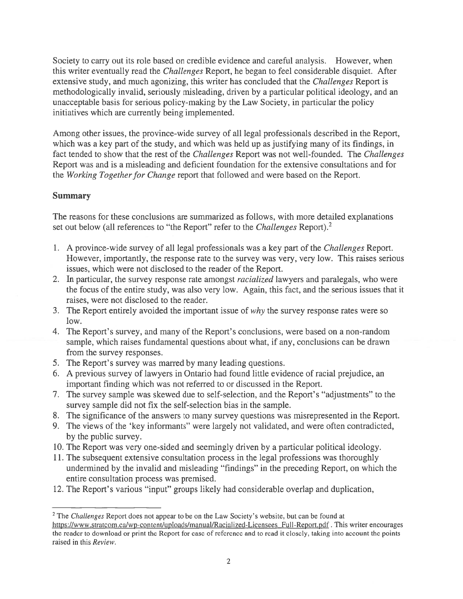Society to carry out its role based on credible evidence and careful analysis. However, when this writer eventually read the Challenges Report, he began to feel considerable disquiet. After extensive study, and much agonizing, this writer has concluded that the *Challenges* Report is methodologically invalid, seriously misleading, driven by <sup>a</sup> particular political ideology, and an unacceptable basis for serious policy-making by the Law Society, in particular the policy initiatives which are currently being implemented.

Among other issues, the province-wide survey of all legal professionals described in the Report, which was <sup>a</sup> key par<sup>t</sup> of the study, and which was held up as justifying many of its findings, in fact tended to show that the rest of the *Challenges* Report was not well-founded. The *Challenges* Report was and is <sup>a</sup> misleading and deficient foundation for the extensive consultations and for the Working Together for Change report that followed and were based on the Report.

# Summary

The reasons for these conclusions are summarized as follows, with more detailed explanations set out below (all references to "the Report" refer to the *Challenges* Report).<sup>2</sup>

- 1. A province-wide survey of all legal professionals was <sup>a</sup> key par<sup>t</sup> of the Challenges Report. However, importantly, the response rate to the survey was very, very low. This raises serious issues, which were not disclosed to the reader of the Report.
- 2. In particular, the survey response rate amongst *racialized* lawyers and paralegals, who were the focus of the entire study, was also very low. Again, this fact, and the serious issues that it raises, were not disclosed to the reader.
- 3. The Report entirely avoided the important issue of why the survey response rates were so low.
- 4. The Report's survey, and many of the Report's conclusions, were based on <sup>a</sup> non-random sample, which raises fundamental questions about what, if any, conclusions can be drawn from the survey responses.
- 5. The Report's survey was marred by many leading questions.
- 6. A previous survey of lawyers in Ontario had found little evidence of racial prejudice, an important finding which was not referred to or discussed in the Report.
- 7. The survey sample was skewed due to self-selection, and the Report's "adjustments" to the survey sample did not fix the self-selection bias in the sample.
- 8. The significance of the answers to many survey questions was misrepresented in the Report.
- 9. The views of the 'key informants" were largely not validated, and were often contradicted, by the public survey.
- 10. The Report was very one-sided and seemingly driven by <sup>a</sup> particular political ideology.
- 11. The subsequent extensive consultation process in the legal professions was thoroughly undermined by the invalid and misleading "findings" in the preceding Report, on which the entire consultation process was premised.
- 12. The Report's various "input" groups likely had considerable overlap and duplication,

 $2$  The Challenges Report does not appear to be on the Law Society's website, but can be found at https://www.stratcom.ca/wp-content/uploads/manual/Racialized-Licensees Full-Report.pdf. This writer encourages the reader to download or print the Report for ease of reference and to read it closely, taking into account the points raised in this Review.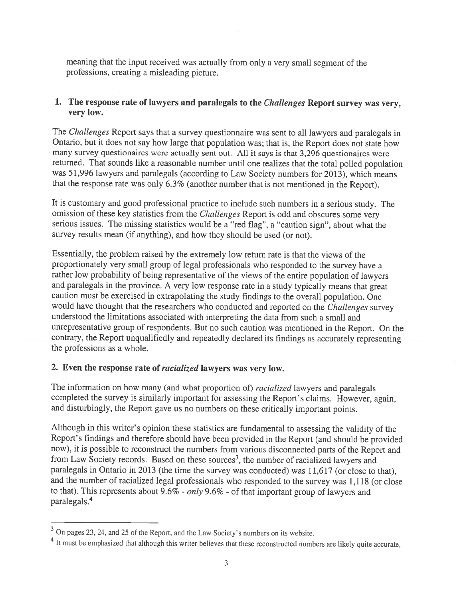meaning that the input received was actually from only <sup>a</sup> very small segmen<sup>t</sup> of the professions, creating <sup>a</sup> misleading <sup>p</sup>icture.

## 1. The response rate of lawyers and paralegals to the *Challenges* Report survey was very, very low.

The Challenges Report says that a survey questionnaire was sent to all lawyers and paralegals in Ontario, but it does not say how large that population was; that is, the Report does not state how many survey questionaires were actually sent out. All it says is that 3,296 questionaires were returned. That sounds like <sup>a</sup> reasonable number until one realizes that the total polled population was 51,996 lawyers and paralegals (according to Law Society numbers for 2013), which means that the response rate was only 6.3% (another number that is not mentioned in the Report).

It is customary and goo<sup>d</sup> professional practice to include such numbers in <sup>a</sup> serious study. The omission of these key statistics from the Challenges Report is odd and obscures some very serious issues. The missing statistics would be <sup>a</sup> "red flag", <sup>a</sup> "caution sign", about what the survey results mean (if anything), and how they should be used (or not).

Essentially, the problem raised by the extremely low return rate is that the views of the proportionately very small group of legal professionals who responded to the survey have <sup>a</sup> rather low probability of being representative of the views of the entire population of lawyers and paralegals in the province. <sup>A</sup> very low response rate in <sup>a</sup> study typically means that grea<sup>t</sup> caution must be exercised in extrapolating the study findings to the overall population. One would have thought that the researchers who conducted and reported on the Challenges survey understood the limitations associated with interpreting the data from such <sup>a</sup> small and unrepresentative group of respondents. But no such caution was mentioned in the Report. On the contrary, the Report unqualifiedly and repeatedly declared its findings as accurately representing the professions as <sup>a</sup> whole.

#### 2. Even the response rate of *racialized* lawyers was very low.

The information on how many (and what proportion of) *racialized* lawyers and paralegals completed the survey is similarly important for assessing the Report's claims. However, again, and disturbingly, the Report gave us no numbers on these critically important points.

Although in this writer's opinion these statistics are fundamental to assessing the validity of the Report's findings and therefore should have been provided in the Report (and should be provided now), it is possible to reconstrnct the numbers from various disconnected parts of the Report and from Law Society records. Based on these sources<sup>3</sup>, the number of racialized lawyers and paralegals in Ontario in <sup>2013</sup> (the time the survey was conducted) was 11,617 (or close to that), and the number of racialized legal professionals who responded to the survey was 1,118 (or close to that). This represents about  $9.6\%$  - only  $9.6\%$  - of that important group of lawyers and paralegals.4

<sup>&</sup>lt;sup>3</sup> On pages 23, 24, and 25 of the Report, and the Law Society's numbers on its website.

<sup>&</sup>lt;sup>4</sup> It must be emphasized that although this writer believes that these reconstructed numbers are likely quite accurate,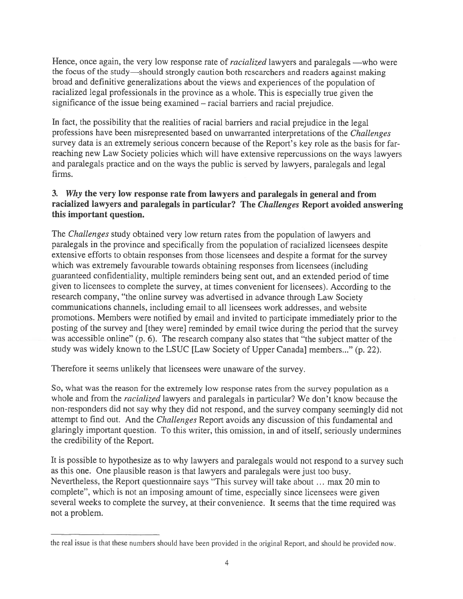Hence, once again, the very low response rate of *racialized* lawyers and paralegals —who were the focus of the study—should strongly caution both researchers and readers against making broad and definitive generalizations about the views and experiences of the population of racialized legal professionals in the province as <sup>a</sup> whole. This is especially true <sup>g</sup>iven the significance of the issue being examined — racial barriers and racial prejudice.

In fact, the possibility that the realities of racial barriers and racial prejudice in the legal professions have been misrepresented based on unwarranted interpretations of the Challenges survey data is an extremely serious concern because of the Report's key role as the basis for farreaching new Law Society policies which will have extensive repercussions on the ways lawyers and paralegals practice and on the ways the public is served by lawyers, paralegals and legal firms.

## 3. Why the very low response rate from lawyers and paralegals in genera<sup>l</sup> and from racialized lawyers and paralegals in particular? The Challenges Report avoided answering this important question.

The *Challenges* study obtained very low return rates from the population of lawyers and paralegals in the province and specifically from the population of racialized licensees despite extensive efforts to obtain responses from those licensees and despite <sup>a</sup> format for the survey which was extremely favourable towards obtaining responses from licensees (including guaranteed confidentiality, multiple reminders being sent out, and an extended period of time <sup>g</sup>iven to licensees to complete the survey, at times convenient for licensees). According to the research company, "the online survey was advertised in advance through Law Society communications channels, including email to all licensees work addresses, and website promotions. Members were notified by email and invited to participate immediately prior to the posting of the survey and [they were] reminded by email twice during the period that the survey was accessible online" (p. 6). The research company also states that "the subject matter of the study was widely known to the LSUC [Law Society of Upper Canada] members..." (p. 22).

Therefore it seems unlikely that licensees were unaware of the survey.

So, what was the reason for the extremely low response rates from the survey population as <sup>a</sup> whole and from the *racialized* lawyers and paralegals in particular? We don't know because the non-responders did not say why they did not respond, and the survey company seemingly did not attempt to find out. And the *Challenges* Report avoids any discussion of this fundamental and glaringly important question. To this writer, this omission, in and of itself, seriously undermines the credibility of the Report.

It is possible to hypothesize as to why lawyers and paralegals would not respond to <sup>a</sup> survey such as this one. One <sup>p</sup>lausible reason is that lawyers and paralegals were just too busy. Nevertheless, the Report questionnaire says "This survey will take about ... max 20 min to complete", which is not an imposing amount of time, especially since licensees were <sup>g</sup>iven several weeks to complete the survey, at their convenience. It seems that the time required was not <sup>a</sup> problem.

the real issue is that these numbers should have been provided in the original Report, and should be provided now.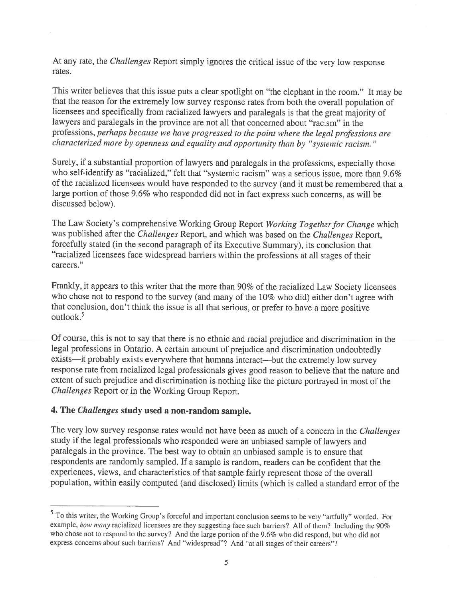At any rate, the Challenges Report simply ignores the critical issue of the very low response rates.

This writer believes that this issue puts <sup>a</sup> clear spotlight on "the elephant in the room." It may be that the reason for the extremely low survey response rates from both the overall population of licensees and specifically from racialized lawyers and paralegals is that the grea<sup>t</sup> majority of lawyers and paralegals in the province are not all that concerned about "racism" in the professions, perhaps because we have progresse<sup>d</sup> to the point where the legal professions are characterized more by openness and equality and opportunity than by "systemic racism."

Surely, if <sup>a</sup> substantial proportion of lawyers and paralegals in the professions, especially those who self-identify as "racialized," felt that "systemic racism" was <sup>a</sup> serious issue, more than 9.6% of the racialized licensees would have responded to the survey (and it must be remembered that <sup>a</sup> large portion of those 9.6% who responded did not in fact express such concerns, as will be discussed below).

The Law Society's comprehensive Working Group Report Working Together for Change which was published after the Challenges Report, and which was based on the Challenges Report, forcefully stated (in the second paragrap<sup>h</sup> of its Executive Summary), its conclusion that "racialized licensees face widespread barriers within the professions at all stages of their careers."

Frankly, it appears to this writer that the more than 90% of the racialized Law Society licensees who chose not to respon<sup>d</sup> to the survey (and many of the 10% who did) either don't agree with that conclusion, don't think the issue is all that serious, or prefer to have <sup>a</sup> more positive outlook.<sup>5</sup>

Of course, this is not to say that there is no ethnic and racial prejudice and discrimination in the legal professions in Ontario. <sup>A</sup> certain amount of prejudice and discrimination undoubtedly exists—it probably exists everywhere that humans interact—but the extremely low survey response rate from racialized legal professionals <sup>g</sup>ives good reason to believe that the nature and extent of such prejudice and discrimination is nothing like the <sup>p</sup>icture portrayed in most of the Challenges Report or in the Working Group Report.

#### 4. The Challenges study used <sup>a</sup> non-random sample.

The very low survey response rates would not have been as much of a concern in the Challenges study if the legal professionals who responded were an unbiased sample of lawyers and paralegals in the province. The best way to obtain an unbiased sample is to ensure that respondents are randomly sampled. If <sup>a</sup> sample is random, readers can be confident that the experiences, views, and characteristics of that sample fairly represen<sup>t</sup> those of the overall population, within easily computed (and disclosed) limits (which is called <sup>a</sup> standard error of the

To this writer, the Working Group's forceful and important conclusion seems to be very "artfully" worded. For example, how many racialized licensees are they suggesting face such barriers? All of them? Including the 90% who chose not to respon<sup>d</sup> to the survey? And the large portion of the 9.6% who did respond, but who did not express concerns about such barriers? And "widespread"? And "at all stages of their careers"?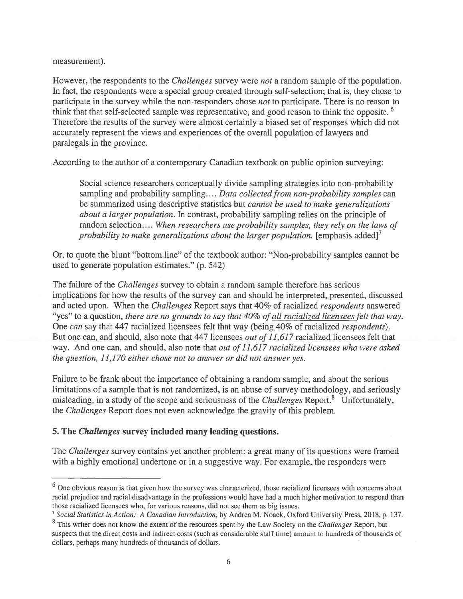measurement).

However, the respondents to the *Challenges* survey were *not* a random sample of the population. In fact, the respondents were <sup>a</sup> special group created through self-selection; that is, they chose to participate in the survey while the non-responders chose not to participate. There is no reason to think that that self-selected sample was representative, and good reason to think the opposite.<sup>6</sup> Therefore the results of the survey were almost certainly <sup>a</sup> biased set of responses which did not accurately represen<sup>t</sup> the views and experiences of the overall population of lawyers and paralegals in the province.

According to the author of <sup>a</sup> contemporary Canadian textbook on public opinion surveying:

Social science researchers conceptually divide sampling strategies into non-probability sampling and probability sampling.... Data collected from non-probability samples can be summarized using descriptive statistics but *cannot be used to make generalizations* about a larger population. In contrast, probability sampling relies on the principle of random selection.... When researchers use probability samples, they rely on the laws of probability to make generalizations about the larger population. [emphasis added]<sup>7</sup>

Or, to quote the blunt "bottom line" of the textbook author: "Non-probability samples cannot be used to generate population estimates." (p. 542)

The failure of the *Challenges* survey to obtain a random sample therefore has serious implications for how the results of the survey can and should be interpreted, presented, discussed and acted upon. When the Challenges Report says that 40% of racialized respondents answered "yes" to a question, there are no grounds to say that 40% of all racialized licensees felt that way. One can say that 447 racialized licensees felt that way (being 40% of racialized respondents). But one can, and should, also note that 447 licensees out of 11,617 racialized licensees felt that way. And one can, and should, also note that out of 11,617 racialized licensees who were asked the question,  $11,170$  either chose not to answer or did not answer yes.

failure to be frank about the importance of obtaining <sup>a</sup> random sample, and about the serious limitations of <sup>a</sup> sample that is not randomized, is an abuse of survey methodology, and seriously misleading, in a study of the scope and seriousness of the *Challenges* Report.<sup>8</sup> Unfortunately, the Challenges Report does not even acknowledge the gravity of this problem.

### 5. The Challenges survey included many leading questions.

The *Challenges* survey contains yet another problem: a great many of its questions were framed with <sup>a</sup> highly emotional undertone or in <sup>a</sup> suggestive way. for example, the responders were

<sup>&</sup>lt;sup>6</sup> One obvious reason is that given how the survey was characterized, those racialized licensees with concerns about racial prejudice and racial disadvantage in the professions would have had <sup>a</sup> much higher motivation to respond than those racialized licensees who, for various reasons, did not see them as big issues.<br><sup>7</sup> Social Statistics in Action: A Canadian Introduction, by Andrea M. Noack, Oxford University Press, 2018, p. 137.

 $8\text{ This writer does not know the extent of the resources spent by the Law Society on the *Challenges* Report, but$ suspects that the direct costs and indirect costs (such as considerable staff time) amount to hundreds of thousands of dollars, perhaps many hundreds of thousands of dollars.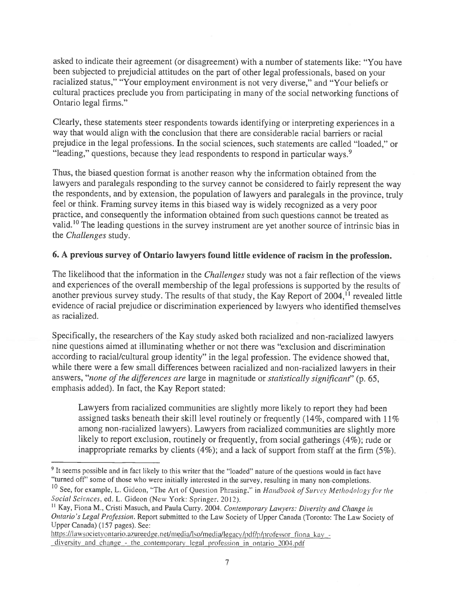asked to indicate their agreemen<sup>t</sup> (or disagreement) with <sup>a</sup> number of statements like: "You have been subjected to prejudicial attitudes on the par<sup>t</sup> of other legal professionals, based on your racialized status," "Your employment environment is not very diverse," and "Your beliefs or cultural practices preclude you from participating in many of the social networking functions of Ontario legal firms."

Clearly, these statements steer respondents towards identifying or interpreting experiences in <sup>a</sup> way that would align with the conclusion that there are considerable racial barriers or racial prejudice in the legal professions. In the social sciences, such statements are called "loaded," or "leading," questions, because they lead respondents to respond in particular ways.<sup>9</sup>

Thus, the biased question format is another reason why the information obtained from the lawyers and paralegals responding to the survey cannot be considered to fairly represen<sup>t</sup> the way the respondents, and by extension, the population of lawyers and paralegals in the province, truly feel or think. Framing survey items in this biased way is widely recognized as <sup>a</sup> very poor practice, and consequently the information obtained from such questions cannot be treated as valid.'0 The leading questions in the survey instrument are ye<sup>t</sup> another source of intrinsic bias in the Challenges study.

# 6. <sup>A</sup> previous survey of Ontario lawyers found little evidence of racism in the profession.

The likelihood that the information in the *Challenges* study was not a fair reflection of the views and experiences of the overall membership of the legal professions is supported by the results of another previous survey study. The results of that study, the Kay Report of  $2004$ ,  $\frac{1}{1}$  revealed little evidence of racial prejudice or discrimination experienced by lawyers who identified themselves as racialized.

Specifically, the researchers of the Kay study asked both racialized and non-racialized lawyers nine questions aimed at illuminating whether or not there was "exclusion and discrimination according to racial/cultural group identity" in the legal profession. The evidence showed that, while there were <sup>a</sup> few small differences between racialized and non-racialized lawyers in their answers, "none of the differences are large in magnitude or statistically significant" (p. 65, emphasis added). In fact, the Kay Report stated:

Lawyers from racialized communities are slightly more likely to repor<sup>t</sup> they had been assigned tasks beneath their skill level routinely or frequently (14%, compare<sup>d</sup> with 11% among non-racialized lawyers). Lawyers from racialized communities are slightly more likely to report exclusion, routinely or frequently, from social gatherings (4%); rude or inappropriate remarks by clients (4%); and <sup>a</sup> lack of suppor<sup>t</sup> from staff at the firm (5%).

https://lawsocietyontario.azureedge.net/media/lso/media/legacy/pdf/p/professor\_fiona\_kay diversity and change — the contemporary legal profession in ontario 2004.pdf'

<sup>&</sup>lt;sup>9</sup> It seems possible and in fact likely to this writer that the "loaded" nature of the questions would in fact have "turned off" some of those who were initially interested in the survey, resulting in many non-completions.

<sup>&</sup>lt;sup>10</sup> See, for example, L. Gideon, "The Art of Question Phrasing." in Handbook of Survey Methodology for the Social Sciences, ed. L. Gideon (New York: Springer, 2012).

<sup>&</sup>lt;sup>11</sup> Kay, Fiona M., Cristi Masuch, and Paula Curry. 2004. Contemporary Lawyers: Diversity and Change in Ontario's Legal Profession. Report submitted to the Law Society of Upper Canada (Toronto: The Law Society of Upper Canada) (157 pages). See: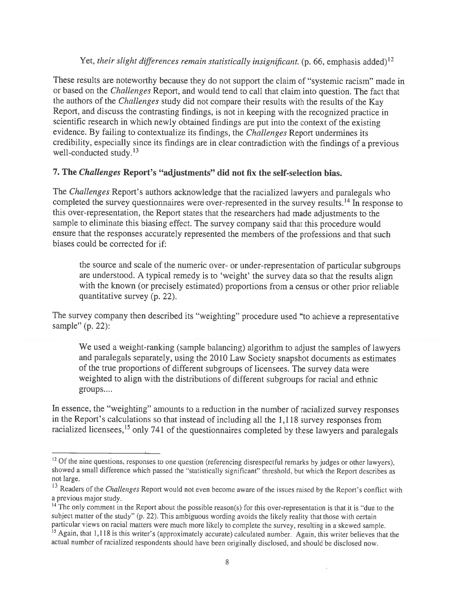## Yet, their slight differences remain statistically insignificant. (p. 66, emphasis added)<sup>12</sup>

These results are noteworthy because they do not suppor<sup>t</sup> the claim of "systemic racism" made in or based on the Challenges Report, and would tend to call that claim into question. The fact that the authors of the Challenges study did not compare their results with the results of the Kay Report, and discuss the contrasting findings, is not in keeping with the recognized practice in scientific research in which newly obtained findings are pu<sup>t</sup> into the context of the existing evidence. By failing to contextualize its findings, the Challenges Report undermines its credibility, especially since its findings are in clear contradiction with the findings of <sup>a</sup> previous well-conducted study.<sup>13</sup>

# 7. The Challenges Report's "adjustments" did not fix the self-selection bias.

The Challenges Report's authors acknowledge that the racialized lawyers and paralegals who completed the survey questionnaires were over-represented in the survey results.<sup>14</sup> In response to this over-representation, the Report states that the researchers had made adjustments to the sample to eliminate this biasing effect. The survey company said that this procedure would ensure that the responses accurately represented the members of the professions and that such biases could be corrected for if:

the source and scale of the numeric over- or under-representation of particular subgroups are understood. <sup>A</sup> typical remedy is to 'weight' the survey data so that the results align with the known (or precisely estimated) proportions from <sup>a</sup> census or other prior reliable quantitative survey (p. 22).

The survey company then described its "weighting" procedure used "to achieve <sup>a</sup> representative sample" (p. 22):

We used <sup>a</sup> weight-ranking (sample balancing) algorithm to adjust the samples of lawyers and paralegals separately, using the <sup>2010</sup> Law Society snapshot documents as estimates of the true proportions of different subgroups of licensees. The survey data were weighted to align with the distributions of different subgroups for racial and ethnic groups....

In essence, the "weighting" amounts to <sup>a</sup> reduction in the number of racialized survey responses in the Report's calculations so that instead of including all the 1,118 survey responses from racialized licensees,<sup>15</sup> only 741 of the questionnaires completed by these lawyers and paralegals

 $12$  Of the nine questions, responses to one question (referencing disrespectful remarks by judges or other lawyers), showed <sup>a</sup> small difference which passe<sup>d</sup> the "statistically significant" threshold, but which the Report describes as not large.

<sup>&</sup>lt;sup>13</sup> Readers of the *Challenges* Report would not even become aware of the issues raised by the Report's conflict with <sup>a</sup> previous major study.

 $14$  The only comment in the Report about the possible reason(s) for this over-representation is that it is "due to the subject matter of the study" (p. 22). This ambiguous wording avoids the likely reality that those with certain particular views on racial matters were much more likely to complete the survey, resulting in <sup>a</sup> skewed sample.

<sup>&</sup>lt;sup>15</sup> Again, that 1,118 is this writer's (approximately accurate) calculated number. Again, this writer believes that the actual number of racialized respondents should have been originally disclosed, and should be disclosed now.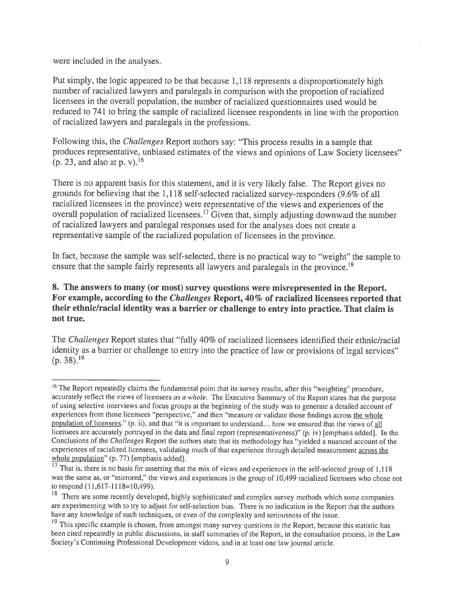were included in the analyses.

Put simply, the logic appeare<sup>d</sup> to be that because 1,118 represents <sup>a</sup> disproportionately high number of racialized lawyers and paralegals in comparison with the proportion of racialized licensees in the overall population, the number of racialized questionnaires used would be reduced to <sup>741</sup> to bring the sample of racialized licensee respondents in line with the proportion of racialized lawyers and paralegals in the professions.

Following this, the Challenges Report authors say: "This process results in a sample that produces representative, unbiased estimates of the views and opinions of Law Society licensees" (p. 23, and also at p. v).<sup>16</sup>

There is no apparen<sup>t</sup> basis for this statement, and it is very likely false. The Report <sup>g</sup>ives no grounds for believing that the 1,118 self-selected racialized survey-responders (9.6% of all racialized licensees in the province) were representative of the views and experiences of the overall population of racialized licensees.<sup>17</sup> Given that, simply adjusting downward the number of racialized lawyers and paralegal responses used for the analyses does not create <sup>a</sup> representative sample of the racialized population of licensees in the province.

In fact, because the sample was self-selected, there is no practical way to "weight" the sample to ensure that the sample fairly represents all lawyers and paralegals in the province.<sup>18</sup>

## 8. The answers to many (or most) survey questions were misrepresented in the Report. For example, according to the Challenges Report, 40% of racialized licensees reported that their ethnic/racial identity was <sup>a</sup> barrier or challenge to entry into practice. That claim is not true.

The Challenges Report states that "fully 40% of racialized licensees identified their ethnic/racial identity as <sup>a</sup> barrier or challenge to entry into the practice of law or provisions of legal services"  $(p. 38).^{19}$ 

<sup>&</sup>lt;sup>16</sup> The Report repeatedly claims the fundamental point that its survey results, after this "weighting" procedure, accurately reflect the views of licensees as a whole. The Executive Summary of the Report states that the purpose of using selective interviews and focus groups at the beginning of the study was to generate <sup>a</sup> detailed account of experiences from those licensees "perspective," and then "measure or validate those findings across the whole population of licensees." (p. ii), and that "it is important to understand... how we ensured that the views of all licensees are accurately portrayed in the data and final repor<sup>t</sup> (representativeness)" (p. iv) [emphasis added]. In the Conclusions of the Challenges Report the authors state that its methodology has "yielded <sup>a</sup> nuanced account of the experiences of racialized licensees, validating much of that experience through detailed measurement across the whole population" (p. 77) [emphasis added].

That is, there is no basis for asserting that the mix of views and experiences in the self-selected group of 1,118 was the same as, or "mirrored," the views and experiences in the group of 10,499 racialized licensees who chose not to respond (11,617-1118=10,499).

<sup>&</sup>lt;sup>18</sup> There are some recently developed, highly sophisticated and complex survey methods which some companies are experimenting with to try to adjust for self-selection bias. There is no indication in the Report that the authors have any knowledge of such techniques, or even of the complexity and seriousness of the issue.

<sup>&</sup>lt;sup>19</sup> This specific example is chosen, from amongst many survey questions in the Report, because this statistic has been cited repeatedly in public discussions, in staff summaries of the Report, in the consultation process, in the Law Society's Continuing Professional Development videos, and in at least one law journal article.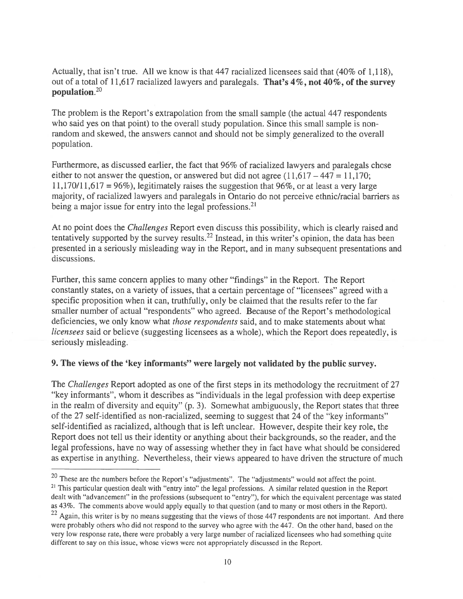Actually, that isn't true. All we know is that 447 racialized licensees said that (40% of 1,118), out of a total of 11,617 racialized lawyers and paralegals. That's 4%, not 40%, of the survey population.2°

The problem is the Report's extrapolation from the small sample (the actual 447 respondents who said yes on that point) to the overall study population. Since this small sample is nonrandom and skewed, the answers cannot and should not be simply generalized to the overall population.

Furthermore, as discussed earlier, the fact that 96% of racialized lawyers and paralegals chose either to not answer the question, or answered but did not agree  $(11,617 - 447 = 11,170;$ 11,170/11,617 = 96%), legitimately raises the suggestion that 96%, or at least a very large majority, of racialized lawyers and paralegals in Ontario do not perceive ethnic/racial barriers as being a major issue for entry into the legal professions.<sup>21</sup>

At no point does the Challenges Report even discuss this possibility, which is clearly raised and tentatively supported by the survey results.<sup>22</sup> Instead, in this writer's opinion, the data has been presented in <sup>a</sup> seriously misleading way in the Report, and in many subsequent presentations and discussions.

Further, this same concern applies to many other "findings" in the Report. The Report constantly states, on <sup>a</sup> variety of issues, that <sup>a</sup> certain percentage of "licensees" agreed with <sup>a</sup> specific proposition when it can, truthfully, only be claimed that the results refer to the far smaller number of actual "respondents" who agreed. Because of the Report's methodological deficiencies, we only know what those respondents said, and to make statements about what licensees said or believe (suggesting licensees as <sup>a</sup> whole), which the Report does repeatedly, is seriously misleading.

#### 9. The views of the 'key informants" were largely not validated by the public survey.

The Challenges Report adopted as one of the first steps in its methodology the recruitment of 27 "key informants", whom it describes as "individuals in the legal profession with deep expertise in the realm of diversity and equity" (p. 3). Somewhat ambiguously, the Report states that three of the 27 self-identified as non-racialized, seeming to sugges<sup>t</sup> that <sup>24</sup> of the "key informants" self-identified as racialized, although that is left unclear. However, despite their key role, the Report does not tell us their identity or anything about their backgrounds, so the reader, and the legal professions, have no way of assessing whether they in fact have what should be considered as expertise in anything. Nevertheless, their views appeared to have driven the structure of much

 $20$  These are the numbers before the Report's "adjustments". The "adjustments" would not affect the point. <sup>21</sup> This particular question dealt with "entry into" the legal professions. A similar related question in the Report dealt with "advancement" in the professions (subsequent to "entry"), for which the equivalent percentage was stated as 43%. The comments above would apply equally to that question (and to many or most others in the Report).

 $22$  Again, this writer is by no means suggesting that the views of those 447 respondents are not important. And there were probably others who did not respond to the survey who agree with the 447. On the other hand, based on the very low response rate, there were probably <sup>a</sup> very large number of racialized licensees who had something quite different to say on this issue, whose views were not appropriately discussed in the Report.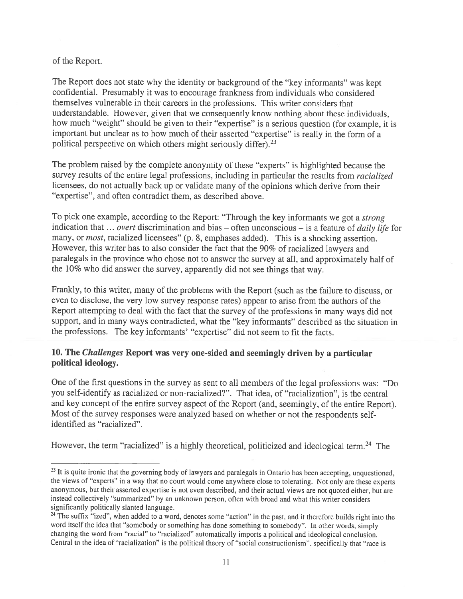of the Report.

The Report does not state why the identity or background of the "key informants" was kept confidential. Presumably it was to encourage frankness from individuals who considered themselves vulnerable in their careers in the professions. This writer considers that understandable. However, <sup>g</sup>iven that we consequently know nothing about these individuals, how much "weight" should be <sup>g</sup>iven to their "expertise" is <sup>a</sup> serious question (for example, it is important but unclear as to how much of their asserted "expertise" is really in the form of <sup>a</sup> political perspective on which others might seriously differ).<sup>23</sup>

The problem raised by the complete anonymity of these "experts" is highlighted because the survey results of the entire legal professions, including in particular the results from *racialized* licensees, do not actually back up or validate many of the opinions which derive from their "expertise", and often contradict them, as described above.

To pick one example, according to the Report: "Through the key informants we got a *strong* indication that  $\ldots$  overt discrimination and bias – often unconscious – is a feature of *daily life* for many, or *most*, racialized licensees" (p. 8, emphases added). This is a shocking assertion. However, this writer has to also consider the fact that the 90% of racialized lawyers and paralegals in the province who chose not to answer the survey at all, and approximately half of the 10% who did answer the survey, apparently did not see things that way.

frankly, to this writer, many of the problems with the Report (such as the failure to discuss, or even to disclose, the very low survey response rates) appear to arise from the authors of the Report attempting to deal with the fact that the survey of the professions in many ways did not support, and in many ways contradicted, what the "key informants" described as the situation in the professions. The key informants' "expertise" did not seem to fit the facts.

## 10. The Challenges Report was very one-sided and seemingly driven by <sup>a</sup> particular political ideology.

One of the first questions in the survey as sent to all members of the legal professions was: "Do you self-identify as racialized or non-racialized?". That idea, of "racialization", is the central and key concep<sup>t</sup> of the entire survey aspec<sup>t</sup> of the Report (and, seemingly, of the entire Report). Most of the survey responses were analyzed based on whether or not the respondents selfidentified as "racialized".

However, the term "racialized" is a highly theoretical, politicized and ideological term.<sup>24</sup> The

<sup>&</sup>lt;sup>23</sup> It is quite ironic that the governing body of lawyers and paralegals in Ontario has been accepting, unquestioned, the views of "experts" in <sup>a</sup> way that no court would come anywhere close to tolerating. Not only are these experts anonymous, but their asserted expertise is not even described, and their actual views are not quoted either, but are instead collectively "summarized" by an unknown person, often with broad and what this writer considers significantly politically slanted language.

<sup>&</sup>lt;sup>24</sup> The suffix "ized", when added to a word, denotes some "action" in the past, and it therefore builds right into the word itself the idea that "somebody or something has done something to somebody". In other words, simply changing the word from "racial" to "racialized" automatically imports <sup>a</sup> political and ideological conclusion. Central to the idea of "racialization" is the political theory of "social constructionism", specifically that "race is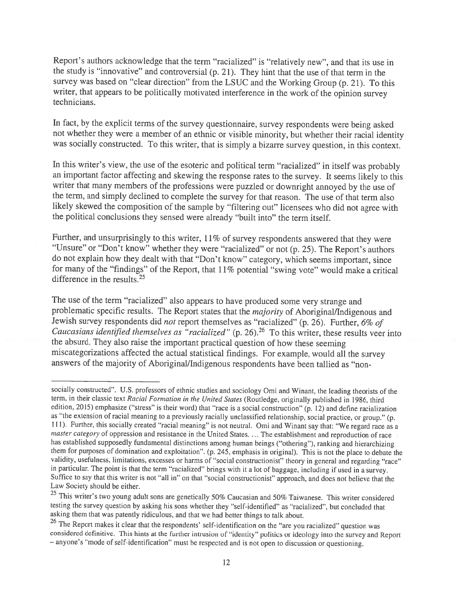Report's authors acknowledge that the term "racialized" is "relatively new", and that its use in the study is "innovative" and controversial (p. 21). They hint that the use of that term in the survey was based on "clear direction" from the LSUC and the Working Group (p. 21). To this writer, that appears to be politically motivated interference in the work of the opinion survey technicians.

In fact, by the explicit terms of the survey questionnaire, survey respondents were being asked not whether they were <sup>a</sup> member of an ethnic or visible minority, but whether their racial identity was socially constructed. To this writer, that is simply <sup>a</sup> bizarre survey question, in this context.

In this writer's view, the use of the esoteric and political term "racialized" in itself was probably an important factor affecting and skewing the response rates to the survey. It seems likely to this writer that many members of the professions were puzzled or downright annoyed by the use of the term, and simply declined to complete the survey for that reason. The use of that term also likely skewed the composition of the sample by "filtering out" licensees who did not agree with the political conclusions they sensed were already "built into" the term itself.

Further, and unsurprisingly to this writer, 11% of survey respondents answered that they were "Unsure" or "Don't know" whether they were "racialized" or not (p. 25). The Report's authors do not explain how they dealt with that "Don't know" category, which seems important, since for many of the "findings" of the Report, that 11% potential "swing vote" would make a critical difference in the results.<sup>25</sup>

The use of the term "racialized" also appears to have produced some very strange and problematic specific results. The Report states that the *majority* of Aboriginal/Indigenous and Jewish survey respondents did *not* report themselves as "racialized" (p. 26). Further, 6% of Caucasians identified themselves as "racialized" (p. 26). <sup>26</sup> To this writer, these results veer into the absurd. They also raise the important practical question of how these seeming miscategorizations affected the actual statistical findings. For example, would all the survey answers of the majority of Aboriginal/Indigenous respondents have been tallied as "non-

socially constructed". U.S. professors of ethnic studies and sociology Omi and Winant, the leading theorists of the term, in their classic text Racial Formation in the United States (Routledge, originally published in 1986, third edition, 2015) emphasize ("stress" is their word) that "race is a social construction" (p. 12) and define racialization as "the extension of racial meaning to a previously racially unclassified relationship, social practic 111). Further, this socially created "racial meaning" is not neutral. Omi and Winant say that: "We regard race as a master category of oppression and resistance in the United States. ... The establishment and reproduction of race<br>has established supposedly fundamental distinctions among human beings ("othering"), ranking and hierarchizi them for purposes of domination and exploitation". (p. 245, emphasis in original). This is not the place to debate the validity, usefulness, limitations, excesses or harms of "social constructionist" theory in general and Suffice to say that this writer is not "all in" on that "social constructionist" approach, and does not believe that the Law Society should be either.

<sup>&</sup>lt;sup>25</sup> This writer's two young adult sons are genetically 50% Caucasian and 50% Taiwanese. This writer considered testing the survey question by asking his sons whether they "self-identified" as "racialized", but concluded that asking them that was patently ridiculous, and that we had better things to talk about.

<sup>&</sup>lt;sup>26</sup> The Report makes it clear that the respondents' self-identification on the "are you racialized" question was considered definitive. This hints at the further intrusion of "identity" politics or ideology into the survey and Report — anyone's "mode of self-identification" must be respected and is not open to discussion or questioning.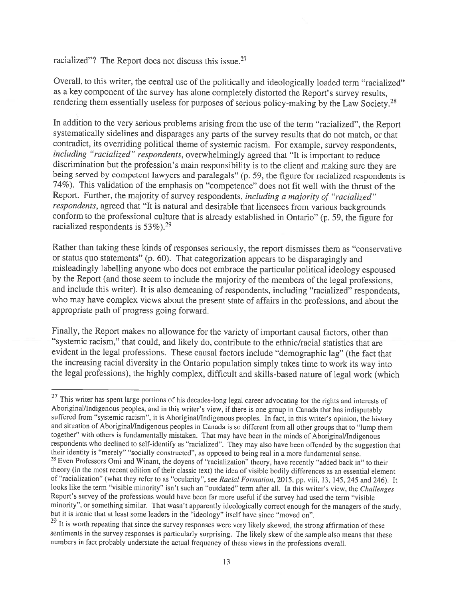racialized"? The Report does not discuss this issue.<sup>27</sup>

Overall, to this writer, the central use of the politically and ideologically loaded term "racialized" as <sup>a</sup> key component of the survey has alone completely distorted the Report's survey results, rendering them essentially useless for purposes of serious policy-making by the Law Society.<sup>28</sup>

In addition to the very serious problems arising from the use of the term "racialized", the Report systematically sidelines and disparages any parts of the survey results that do not match, or that contradict, its overriding political theme of systemic racism. For example, survey respondents, including "racialized" respondents, overwhelmingly agreed that "It is important to reduce discrimination but the profession's main responsibility is to the client and making sure they are being served by competent lawyers and paralegals" (p. 59, the figure for racialized respondents is 74%). This validation of the emphasis on "competence" does not fit well with the thrust of the Report. Further, the majority of survey respondents, including a majority of "racialized" respondents, agreed that "It is natural and desirable that licensees from various backgrounds conform to the professional culture that is already established in Ontario" (p. 59, the figure for racialized respondents is  $53\%$ ).<sup>29</sup>

Rather than taking these kinds of responses seriously, the report dismisses them as "conservative or status quo statements" (p. 60). That categorization appears to be disparagingly and misleadingly labelling anyone who does not embrace the particular political ideology espoused by the Report (and those seem to include the majority of the members of the legal professions, and include this writer). It is also demeaning of respondents, including "racialized" respondents, who may have complex views about the present state of affairs in the professions, and about the appropriate path of progress going forward.

Finally, the Report makes no allowance for the variety of important causal factors, other than "systemic racism," that could, and likely do, contribute to the ethnic/racial statistics that are evident in the legal professions. These causal factors include "demographic lag" (the fact that the increasing racial diversity in the Ontario population simply takes time to work its way into the legal professions), the highly complex, difficult and skills-based nature of legal work (which

<sup>&</sup>lt;sup>27</sup> This writer has spent large portions of his decades-long legal career advocating for the rights and interests of Aboriginal/Indigenous peoples, and in this writer's view, if there is one group in Canada that has indisputably suffered from "systemic racism", it is Aboriginal/Indigenous peoples. In fact, in this writer's opinion, the history and situation of Aboriginal/Indigenous peoples in Canada is so different from all other groups that to "lump them together" with others is fundamentally mistaken. That may have been in the minds of Aboriginal/Indigenous respondents who declined to self-identify as "racialized". They may also have been offended by the suggestion that their identity is "merely" "socially constructed", as opposed to being real in a more fundamental sense. <sup>28</sup> Even Professors Omi and Winant, the doyens of "racialization" theory, have recently "added back in" to their theory (in the most recent edition of their classic text) the idea of visible bodily differences as an essential element of "racialization" (what they refer to as "ocularity", see Racial Formation, 2015, pp. viii, 13, 145, looks like the term "visible minority" isn't such an "outdated" term after all. In this writer's view, the Challenges Report's survey of the professions would have been far more useful if the survey had used the term "visible minority", or something similar. That wasn't apparently ideologically correct enoug<sup>h</sup> for the managers of the study, but it is ironic that at least some leaders in the "ideology" itself have since "moved on".

<sup>&</sup>lt;sup>29</sup> It is worth repeating that since the survey responses were very likely skewed, the strong affirmation of these sentiments in the survey responses is particularly surprising. The likely skew of the sample also means that these numbers in fact probably understate the actual frequency of these views in the professions overall.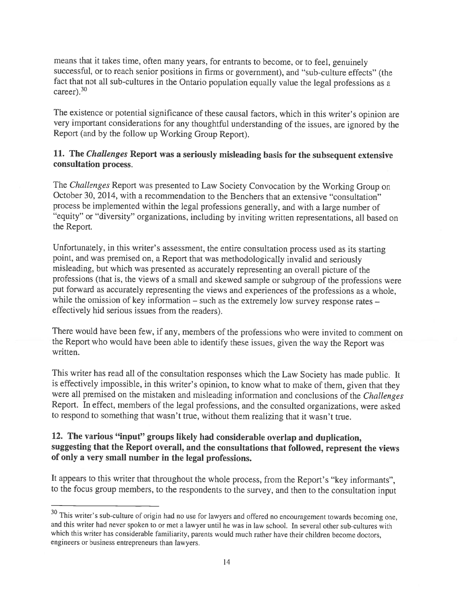means that it takes time, often many years, for entrants to become, or to feel, genuinely successful, or to reach senior positions in firms or government), and "sub-culture effects" (the fact that not all sub-cultures in the Ontario population equally value the legal professions as <sup>a</sup> career). $30$ 

The existence or potential significance of these causal factors, which in this writer's opinion are very important considerations for any thoughtful understanding of the issues, are ignored by the Report (and by the follow up Working Group Report).

### 11. The *Challenges* Report was a seriously misleading basis for the subsequent extensive consultation process.

The Challenges Report was presented to Law Society Convocation by the Working Group on October 30, 2014, with <sup>a</sup> recommendation to the Benchers that an extensive "consultation" process be implemented within the legal professions generally, and with <sup>a</sup> large number of "equity" or "diversity" organizations, including by inviting written representations, all based on the Report.

Unfortunately, in this writer's assessment, the entire consultation process used as its starting point, and was premised on, <sup>a</sup> Report that was methodologically invalid and seriously misleading, but which was presented as accurately representing an overall <sup>p</sup>icture of the professions (that is, the views of <sup>a</sup> small and skewed sample or subgroup of the professions were put forward as accurately representing the views and experiences of the professions as <sup>a</sup> whole, while the omission of key information – such as the extremely low survey response rates – effectively hid serious issues from the readers).

There would have been few, if any, members of the professions who were invited to comment on the Report who would have been able to identify these issues, <sup>g</sup>iven the way the Report was written.

This writer has read all of the consultation responses which the Law Society has made public. It is effectively impossible, in this writer's opinion, to know what to make of them, <sup>g</sup>iven that they were all premised on the mistaken and misleading information and conclusions of the Challenges Report. In effect, members of the legal professions, and the consulted organizations, were asked to respond to something that wasn't true, without them realizing that it wasn't true.

# 12. The various "input" groups likely had considerable overlap and duplication, suggesting that the Report overall, and the consultations that followed, represent the views of only <sup>a</sup> very small number in the legal professions.

It appears to this writer that throughout the whole process, from the Report's "key informants", to the focus group members, to the respondents to the survey, and then to the consultation input

<sup>&</sup>lt;sup>30</sup> This writer's sub-culture of origin had no use for lawyers and offered no encouragement towards becoming one, and this writer had never spoken to or met <sup>a</sup> lawyer until he was in law school. In several other sub-cultures with which this writer has considerable familiarity, parents would much rather have their children become doctors, engineers or business entrepreneurs than lawyers.